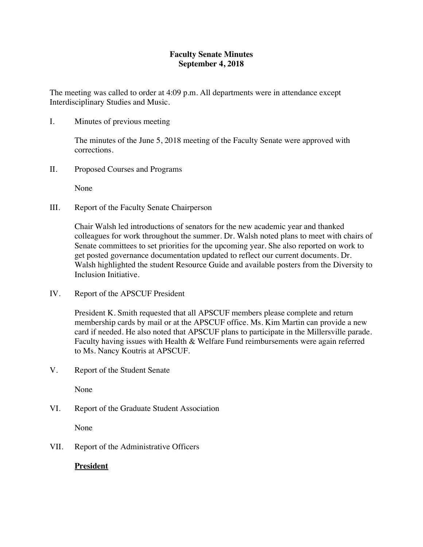## **Faculty Senate Minutes September 4, 2018**

The meeting was called to order at 4:09 p.m. All departments were in attendance except Interdisciplinary Studies and Music.

I. Minutes of previous meeting

The minutes of the June 5, 2018 meeting of the Faculty Senate were approved with corrections.

II. Proposed Courses and Programs

None

III. Report of the Faculty Senate Chairperson

Chair Walsh led introductions of senators for the new academic year and thanked colleagues for work throughout the summer. Dr. Walsh noted plans to meet with chairs of Senate committees to set priorities for the upcoming year. She also reported on work to get posted governance documentation updated to reflect our current documents. Dr. Walsh highlighted the student Resource Guide and available posters from the Diversity to Inclusion Initiative.

IV. Report of the APSCUF President

President K. Smith requested that all APSCUF members please complete and return membership cards by mail or at the APSCUF office. Ms. Kim Martin can provide a new card if needed. He also noted that APSCUF plans to participate in the Millersville parade. Faculty having issues with Health & Welfare Fund reimbursements were again referred to Ms. Nancy Koutris at APSCUF.

V. Report of the Student Senate

None

VI. Report of the Graduate Student Association

None

VII. Report of the Administrative Officers

**President**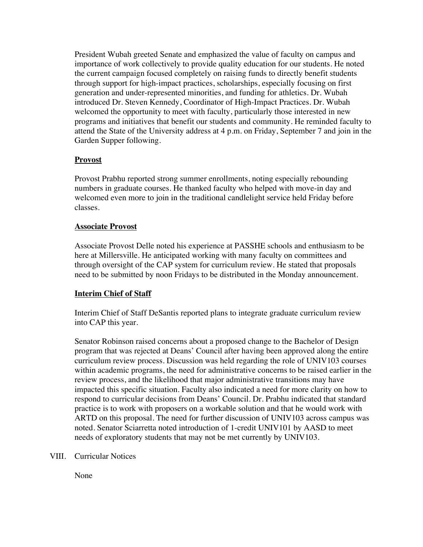President Wubah greeted Senate and emphasized the value of faculty on campus and importance of work collectively to provide quality education for our students. He noted the current campaign focused completely on raising funds to directly benefit students through support for high-impact practices, scholarships, especially focusing on first generation and under-represented minorities, and funding for athletics. Dr. Wubah introduced Dr. Steven Kennedy, Coordinator of High-Impact Practices. Dr. Wubah welcomed the opportunity to meet with faculty, particularly those interested in new programs and initiatives that benefit our students and community. He reminded faculty to attend the State of the University address at 4 p.m. on Friday, September 7 and join in the Garden Supper following.

## **Provost**

Provost Prabhu reported strong summer enrollments, noting especially rebounding numbers in graduate courses. He thanked faculty who helped with move-in day and welcomed even more to join in the traditional candlelight service held Friday before classes.

#### **Associate Provost**

Associate Provost Delle noted his experience at PASSHE schools and enthusiasm to be here at Millersville. He anticipated working with many faculty on committees and through oversight of the CAP system for curriculum review. He stated that proposals need to be submitted by noon Fridays to be distributed in the Monday announcement.

## **Interim Chief of Staff**

Interim Chief of Staff DeSantis reported plans to integrate graduate curriculum review into CAP this year.

Senator Robinson raised concerns about a proposed change to the Bachelor of Design program that was rejected at Deans' Council after having been approved along the entire curriculum review process. Discussion was held regarding the role of UNIV103 courses within academic programs, the need for administrative concerns to be raised earlier in the review process, and the likelihood that major administrative transitions may have impacted this specific situation. Faculty also indicated a need for more clarity on how to respond to curricular decisions from Deans' Council. Dr. Prabhu indicated that standard practice is to work with proposers on a workable solution and that he would work with ARTD on this proposal. The need for further discussion of UNIV103 across campus was noted. Senator Sciarretta noted introduction of 1-credit UNIV101 by AASD to meet needs of exploratory students that may not be met currently by UNIV103.

## VIII. Curricular Notices

None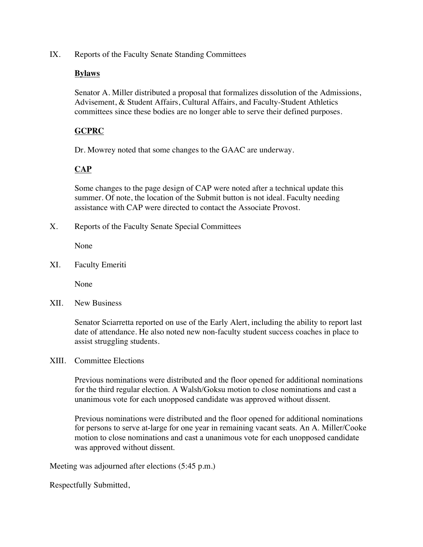IX. Reports of the Faculty Senate Standing Committees

#### **Bylaws**

Senator A. Miller distributed a proposal that formalizes dissolution of the Admissions, Advisement, & Student Affairs, Cultural Affairs, and Faculty-Student Athletics committees since these bodies are no longer able to serve their defined purposes.

# **GCPRC**

Dr. Mowrey noted that some changes to the GAAC are underway.

## **CAP**

Some changes to the page design of CAP were noted after a technical update this summer. Of note, the location of the Submit button is not ideal. Faculty needing assistance with CAP were directed to contact the Associate Provost.

X. Reports of the Faculty Senate Special Committees

None

XI. Faculty Emeriti

None

XII. New Business

Senator Sciarretta reported on use of the Early Alert, including the ability to report last date of attendance. He also noted new non-faculty student success coaches in place to assist struggling students.

#### XIII. Committee Elections

Previous nominations were distributed and the floor opened for additional nominations for the third regular election. A Walsh/Goksu motion to close nominations and cast a unanimous vote for each unopposed candidate was approved without dissent.

Previous nominations were distributed and the floor opened for additional nominations for persons to serve at-large for one year in remaining vacant seats. An A. Miller/Cooke motion to close nominations and cast a unanimous vote for each unopposed candidate was approved without dissent.

Meeting was adjourned after elections (5:45 p.m.)

Respectfully Submitted,